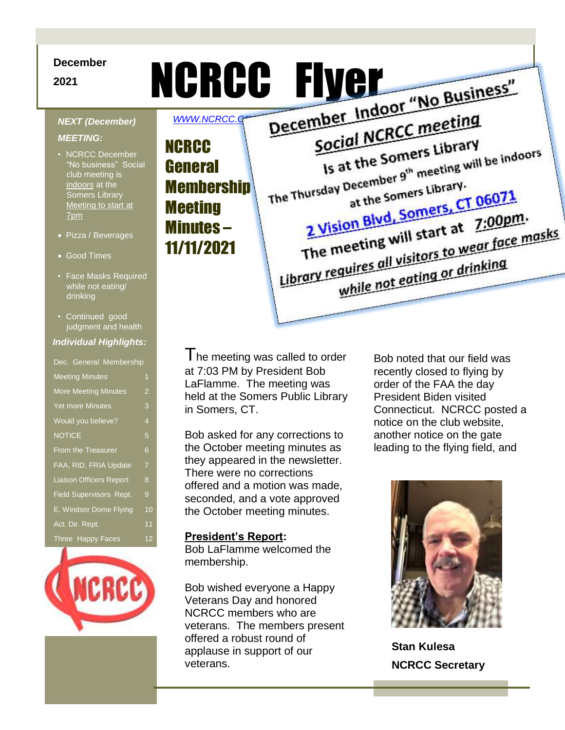## **December**

### *NEXT (December)*

### *MEETING:*

- NCRCC December "No business" Social club meeting is indoors at the Somers Library Meeting to start at 7pm
- Pizza / Beverages
- Good Times
- Face Masks Required while not eating/ drinking
- Continued good judgment and health

### *Individual Highlights:*

Dec. General Membership Meeting Minutes 1 More Meeting Minutes 2 Yet more Minutes 3 Would you believe? 4 NOTICE 5 From the Treasurer 6 FAA, RID, FRIA Update 7 Liaison Officers Report 8 Field Supervisors Rept. 9 E. Windsor Dome Flying 10 Act. Dir. Rept. 11 Three Happy Faces 12



December<br>NCRCC Flyer Theorember)<br>MEXT (December) WWW.NCRCC.g Indoor "No Business" Social NCRCC meeting WWW.NCRCC.O Is at the Somers Library **NCRCC** Social Islamers Library<br>Is at the Somers Library.<br>The Thursday December 9<sup>th</sup> meeting will be indoors General at the Somers Library. **Membership** at the Somers Library.<br>2 Vision Blvd, Somers, CT 06071 **Meeting** 2 Vision Blvd, Somers, L. 2:00pm.<br>The meeting will start at 7:00pm.<br>The meeting will start to wear face m The meeting will start at 7:00pm.<br>The meeting will start at 7:00pm.<br>Library requires all visitors to wear face masks Minutes – 11/11/2021 while not eating or drinking

> I he meeting was called to order at 7:03 PM by President Bob LaFlamme. The meeting was held at the Somers Public Library in Somers, CT.

Bob asked for any corrections to the October meeting minutes as they appeared in the newsletter. There were no corrections offered and a motion was made, seconded, and a vote approved the October meeting minutes.

## **President's Report:**

Bob LaFlamme welcomed the membership.

Bob wished everyone a Happy Veterans Day and honored NCRCC members who are veterans. The members present offered a robust round of applause in support of our veterans.

Bob noted that our field was recently closed to flying by order of the FAA the day President Biden visited Connecticut. NCRCC posted a notice on the club website, another notice on the gate leading to the flying field, and



**Stan Kulesa NCRCC Secretary**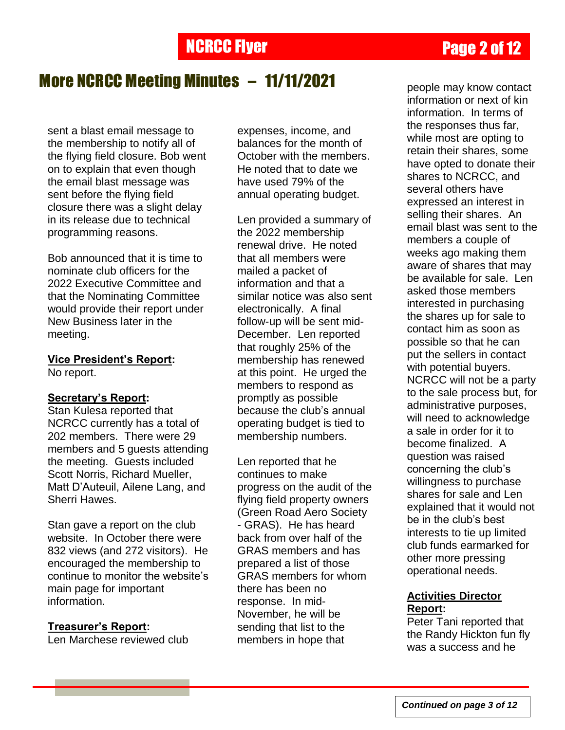## More NCRCC Meeting Minutes – 11/11/2021

sent a blast email message to the membership to notify all of the flying field closure. Bob went on to explain that even though the email blast message was sent before the flying field closure there was a slight delay in its release due to technical programming reasons.

Bob announced that it is time to nominate club officers for the 2022 Executive Committee and that the Nominating Committee would provide their report under New Business later in the meeting.

**Vice President's Report:** No report.

## **Secretary's Report:**

Stan Kulesa reported that NCRCC currently has a total of 202 members. There were 29 members and 5 guests attending the meeting. Guests included Scott Norris, Richard Mueller, Matt D"Auteuil, Ailene Lang, and Sherri Hawes.

Stan gave a report on the club website. In October there were 832 views (and 272 visitors). He encouraged the membership to continue to monitor the website's main page for important information.

## **Treasurer's Report:**

Len Marchese reviewed club

expenses, income, and balances for the month of October with the members. He noted that to date we have used 79% of the annual operating budget.

Len provided a summary of the 2022 membership renewal drive. He noted that all members were mailed a packet of information and that a similar notice was also sent electronically. A final follow-up will be sent mid-December. Len reported that roughly 25% of the membership has renewed at this point. He urged the members to respond as promptly as possible because the club"s annual operating budget is tied to membership numbers.

Len reported that he continues to make progress on the audit of the flying field property owners (Green Road Aero Society - GRAS). He has heard back from over half of the GRAS members and has prepared a list of those GRAS members for whom there has been no response. In mid-November, he will be sending that list to the members in hope that

people may know contact information or next of kin information. In terms of the responses thus far, while most are opting to retain their shares, some have opted to donate their shares to NCRCC, and several others have expressed an interest in selling their shares. An email blast was sent to the members a couple of weeks ago making them aware of shares that may be available for sale. Len asked those members interested in purchasing the shares up for sale to contact him as soon as possible so that he can put the sellers in contact with potential buyers. NCRCC will not be a party to the sale process but, for administrative purposes, will need to acknowledge a sale in order for it to become finalized. A question was raised concerning the club"s willingness to purchase shares for sale and Len explained that it would not be in the club"s best interests to tie up limited club funds earmarked for other more pressing operational needs.

## **Activities Director Report:**

Peter Tani reported that the Randy Hickton fun fly was a success and he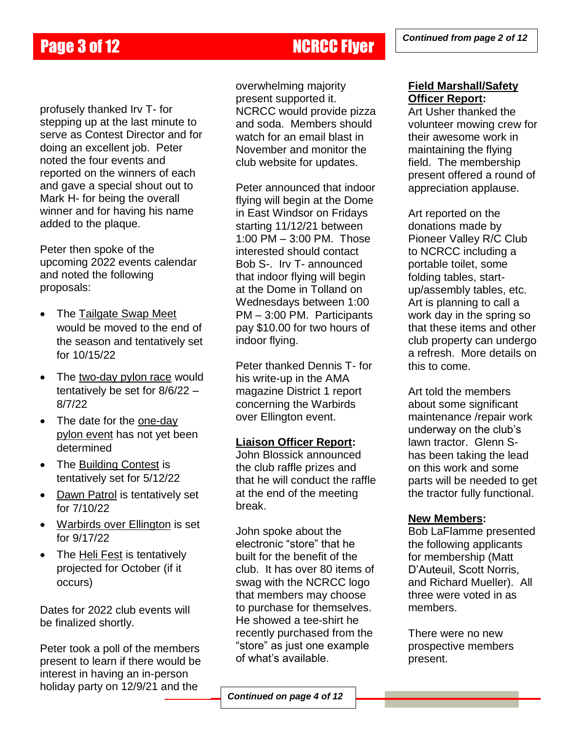profusely thanked Irv T- for stepping up at the last minute to serve as Contest Director and for doing an excellent job. Peter noted the four events and reported on the winners of each and gave a special shout out to Mark H- for being the overall winner and for having his name added to the plaque.

Peter then spoke of the upcoming 2022 events calendar and noted the following proposals:

- The Tailgate Swap Meet would be moved to the end of the season and tentatively set for 10/15/22
- The two-day pylon race would tentatively be set for 8/6/22 – 8/7/22
- The date for the one-day pylon event has not yet been determined
- The Building Contest is tentatively set for 5/12/22
- Dawn Patrol is tentatively set for 7/10/22
- Warbirds over Ellington is set for 9/17/22
- The Heli Fest is tentatively projected for October (if it occurs)

Dates for 2022 club events will be finalized shortly.

Peter took a poll of the members present to learn if there would be interest in having an in-person holiday party on 12/9/21 and the

overwhelming majority present supported it. NCRCC would provide pizza and soda. Members should watch for an email blast in November and monitor the club website for updates.

Peter announced that indoor flying will begin at the Dome in East Windsor on Fridays starting 11/12/21 between 1:00 PM – 3:00 PM. Those interested should contact Bob S-. Irv T- announced that indoor flying will begin at the Dome in Tolland on Wednesdays between 1:00 PM – 3:00 PM. Participants pay \$10.00 for two hours of indoor flying.

Peter thanked Dennis T- for his write-up in the AMA magazine District 1 report concerning the Warbirds over Ellington event.

## **Liaison Officer Report:**

John Blossick announced the club raffle prizes and that he will conduct the raffle at the end of the meeting break.

John spoke about the electronic "store" that he built for the benefit of the club. It has over 80 items of swag with the NCRCC logo that members may choose to purchase for themselves. He showed a tee-shirt he recently purchased from the "store" as just one example of what"s available.

## **Field Marshall/Safety Officer Report:**

Art Usher thanked the volunteer mowing crew for their awesome work in maintaining the flying field. The membership present offered a round of appreciation applause.

Art reported on the donations made by Pioneer Valley R/C Club to NCRCC including a portable toilet, some folding tables, startup/assembly tables, etc. Art is planning to call a work day in the spring so that these items and other club property can undergo a refresh. More details on this to come.

Art told the members about some significant maintenance /repair work underway on the club"s lawn tractor. Glenn Shas been taking the lead on this work and some parts will be needed to get the tractor fully functional.

## **New Members:**

Bob LaFlamme presented the following applicants for membership (Matt D"Auteuil, Scott Norris, and Richard Mueller). All three were voted in as members.

There were no new prospective members present.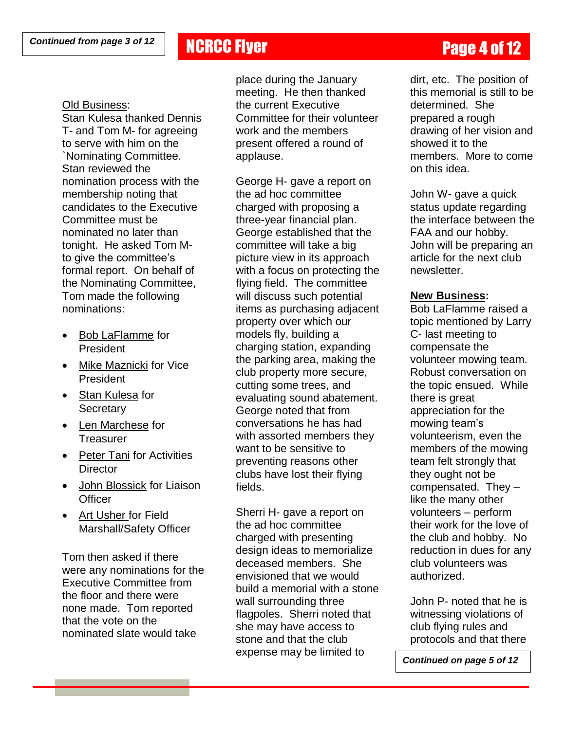## **NCRCC Flyer Page 4 of 12**

### Old Business:

Stan Kulesa thanked Dennis T- and Tom M- for agreeing to serve with him on the `Nominating Committee. Stan reviewed the nomination process with the membership noting that candidates to the Executive Committee must be nominated no later than tonight. He asked Tom Mto give the committee"s formal report. On behalf of the Nominating Committee, Tom made the following nominations:

- Bob LaFlamme for President
- Mike Maznicki for Vice President
- Stan Kulesa for **Secretary**
- Len Marchese for **Treasurer**
- Peter Tani for Activities **Director**
- John Blossick for Liaison **Officer**
- Art Usher for Field Marshall/Safety Officer

Tom then asked if there were any nominations for the Executive Committee from the floor and there were none made. Tom reported that the vote on the nominated slate would take

place during the January meeting. He then thanked the current Executive Committee for their volunteer work and the members present offered a round of applause.

George H- gave a report on the ad hoc committee charged with proposing a three-year financial plan. George established that the committee will take a big picture view in its approach with a focus on protecting the flying field. The committee will discuss such potential items as purchasing adjacent property over which our models fly, building a charging station, expanding the parking area, making the club property more secure, cutting some trees, and evaluating sound abatement. George noted that from conversations he has had with assorted members they want to be sensitive to preventing reasons other clubs have lost their flying fields.

Sherri H- gave a report on the ad hoc committee charged with presenting design ideas to memorialize deceased members. She envisioned that we would build a memorial with a stone wall surrounding three flagpoles. Sherri noted that she may have access to stone and that the club expense may be limited to

dirt, etc. The position of this memorial is still to be determined. She prepared a rough drawing of her vision and showed it to the members. More to come on this idea.

John W- gave a quick status update regarding the interface between the FAA and our hobby. John will be preparing an article for the next club newsletter.

### **New Business:**

Bob LaFlamme raised a topic mentioned by Larry C- last meeting to compensate the volunteer mowing team. Robust conversation on the topic ensued. While there is great appreciation for the mowing team"s volunteerism, even the members of the mowing team felt strongly that they ought not be compensated. They – like the many other volunteers – perform their work for the love of the club and hobby. No reduction in dues for any club volunteers was authorized.

John P- noted that he is witnessing violations of club flying rules and protocols and that there

*Continued on page 5 of 12*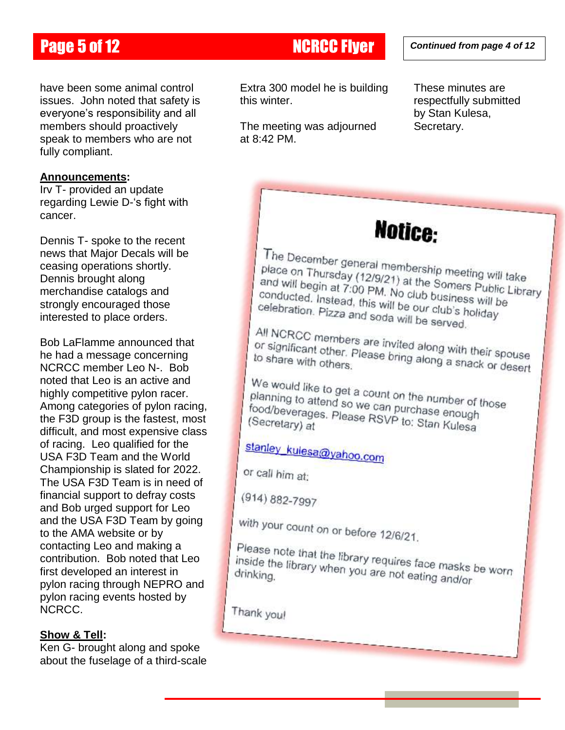## Page 5 of 12 NCRCC Flyer

have been some animal control issues. John noted that safety is everyone's responsibility and all members should proactively speak to members who are not fully compliant.

### **Announcements:**

Irv T- provided an update regarding Lewie D-"s fight with cancer.

Dennis T- spoke to the recent news that Major Decals will be ceasing operations shortly. Dennis brought along merchandise catalogs and strongly encouraged those interested to place orders.

Bob LaFlamme announced that he had a message concerning NCRCC member Leo N-. Bob noted that Leo is an active and highly competitive pylon racer. Among categories of pylon racing, the F3D group is the fastest, most difficult, and most expensive class of racing. Leo qualified for the USA F3D Team and the World Championship is slated for 2022. The USA F3D Team is in need of financial support to defray costs and Bob urged support for Leo and the USA F3D Team by going to the AMA website or by contacting Leo and making a contribution. Bob noted that Leo first developed an interest in pylon racing through NEPRO and pylon racing events hosted by NCRCC.

## **Show & Tell:**

Ken G- brought along and spoke about the fuselage of a third-scale

Extra 300 model he is building this winter.

The meeting was adjourned at 8:42 PM.

These minutes are respectfully submitted by Stan Kulesa, Secretary.

# Notice:

The December general membership meeting will take<br>place on Thursday (12/9/21) at the Somers Dutil take place on Thursday (12/9/21) at the Somers Public Library<br>and will begin at 7:00 PM. No club business will to Library and will begin at 7:00 PM. No club business will be<br>conducted. Instead, this will be our club business will be conducted. Instead, this will be our club's holiday<br>conducted. Instead, this will be our club's holiday<br>celebration. Pizza and soda will be one club's holiday celebration. Pizza and soda will be our club's h

All NCRCC members are invited along with their spouse<br>or significant other. Please bring along with their spouse or significant other. Please bring along with their spouse<br>to share with others.

We would like to get a count on the number of those<br>planning to attend so we can purchase applied. planning to attend so we can purchase enough<br>food/beverages. Please RSVP to: St. food/beverages. Please RSVP to: Stan Kulesa<br>(Secretary) at

stanley\_kulesa@yahoo.com

or call him at:

(914) 882-7997

with your count on or before 12/6/21.

Please note that the library requires face masks be worn<br>inside the library when you are not eating and/sp inside the library requires face masks inside the library when you are not eating and/or

Thank you!

*Continued from page 4 of 12*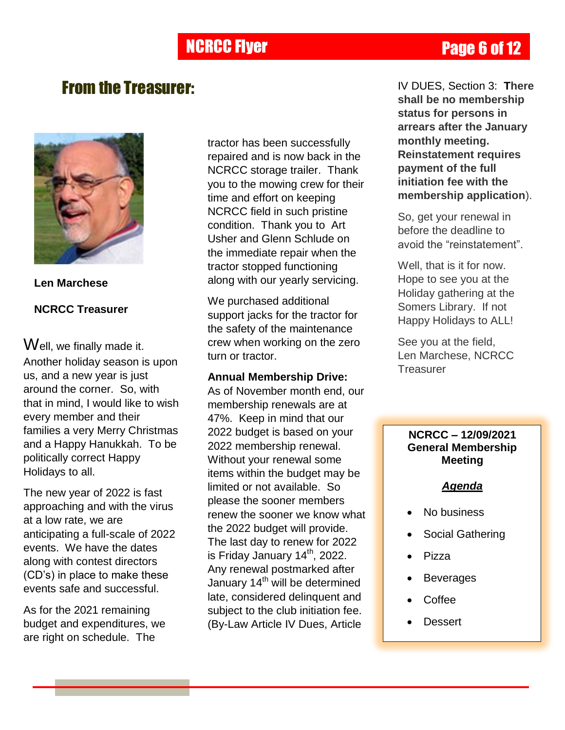## **NCRCC Flyer Page 6 of 12**

## From the Treasurer:



**Len Marchese NCRCC Treasurer**

Well, we finally made it. Another holiday season is upon us, and a new year is just around the corner. So, with that in mind, I would like to wish every member and their families a very Merry Christmas and a Happy Hanukkah. To be politically correct Happy Holidays to all.

The new year of 2022 is fast approaching and with the virus at a low rate, we are anticipating a full-scale of 2022 events. We have the dates along with contest directors (CD"s) in place to make these events safe and successful.

As for the 2021 remaining budget and expenditures, we are right on schedule. The

tractor has been successfully repaired and is now back in the NCRCC storage trailer. Thank you to the mowing crew for their time and effort on keeping NCRCC field in such pristine condition. Thank you to Art Usher and Glenn Schlude on the immediate repair when the tractor stopped functioning along with our yearly servicing.

We purchased additional support jacks for the tractor for the safety of the maintenance crew when working on the zero turn or tractor.

## **Annual Membership Drive:**

As of November month end, our membership renewals are at 47%. Keep in mind that our 2022 budget is based on your 2022 membership renewal. Without your renewal some items within the budget may be limited or not available. So please the sooner members renew the sooner we know what the 2022 budget will provide. The last day to renew for 2022 is Friday January 14<sup>th</sup>, 2022. Any renewal postmarked after January 14<sup>th</sup> will be determined late, considered delinquent and subject to the club initiation fee. (By-Law Article IV Dues, Article

IV DUES, Section 3: **There shall be no membership status for persons in arrears after the January monthly meeting. Reinstatement requires payment of the full initiation fee with the membership application**).

So, get your renewal in before the deadline to avoid the "reinstatement".

Well, that is it for now. Hope to see you at the Holiday gathering at the Somers Library. If not Happy Holidays to ALL!

See you at the field, Len Marchese, NCRCC **Treasurer** 

## **NCRCC – 12/09/2021 General Membership Meeting**

## *Agenda*

- No business
- Social Gathering
- Pizza
- Beverages
- **Coffee**
- **Dessert**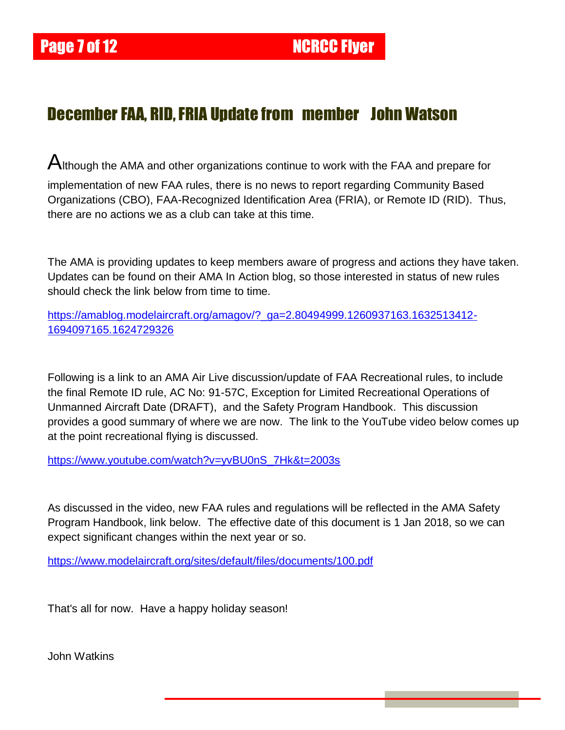## December FAA, RID, FRIA Update from member John Watson

Although the AMA and other organizations continue to work with the FAA and prepare for implementation of new FAA rules, there is no news to report regarding Community Based Organizations (CBO), FAA-Recognized Identification Area (FRIA), or Remote ID (RID). Thus, there are no actions we as a club can take at this time.

The AMA is providing updates to keep members aware of progress and actions they have taken. Updates can be found on their AMA In Action blog, so those interested in status of new rules should check the link below from time to time.

[https://amablog.modelaircraft.org/amagov/?\\_ga=2.80494999.1260937163.1632513412-](https://amablog.modelaircraft.org/amagov/?_ga=2.80494999.1260937163.1632513412-1694097165.1624729326) [1694097165.1624729326](https://amablog.modelaircraft.org/amagov/?_ga=2.80494999.1260937163.1632513412-1694097165.1624729326)

Following is a link to an AMA Air Live discussion/update of FAA Recreational rules, to include the final Remote ID rule, AC No: 91-57C, Exception for Limited Recreational Operations of Unmanned Aircraft Date (DRAFT), and the Safety Program Handbook. This discussion provides a good summary of where we are now. The link to the YouTube video below comes up at the point recreational flying is discussed.

[https://www.youtube.com/watch?v=yvBU0nS\\_7Hk&t=2003s](https://www.youtube.com/watch?v=yvBU0nS_7Hk&t=2003s)

As discussed in the video, new FAA rules and regulations will be reflected in the AMA Safety Program Handbook, link below. The effective date of this document is 1 Jan 2018, so we can expect significant changes within the next year or so.

<https://www.modelaircraft.org/sites/default/files/documents/100.pdf>

That's all for now. Have a happy holiday season!

John Watkins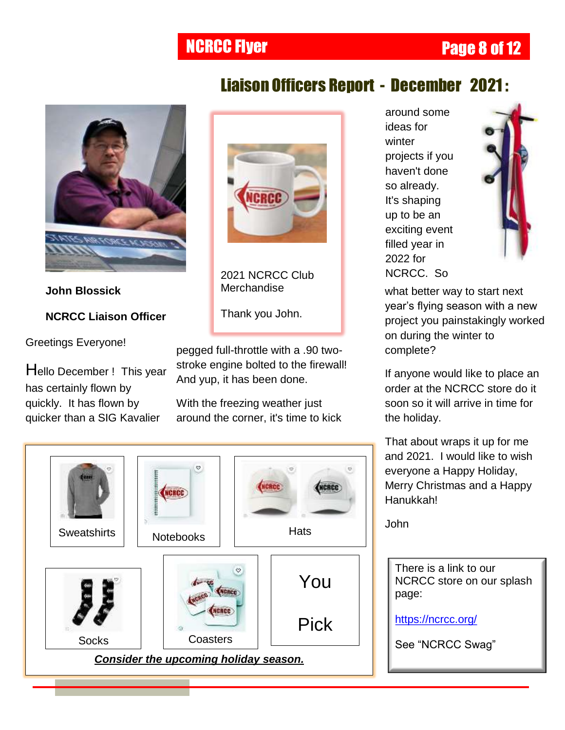## **NCRCC Flyer Page 8 of 12**



**John Blossick NCRCC Liaison Officer**

Greetings Everyone!

Hello December ! This year has certainly flown by quickly. It has flown by quicker than a SIG Kavalier



2021 NCRCC Club Merchandise

Thank you John.

pegged full-throttle with a .90 twostroke engine bolted to the firewall! And yup, it has been done.

With the freezing weather just around the corner, it's time to kick



around some ideas for winter projects if you haven't done so already. It's shaping up to be an exciting event filled year in 2022 for NCRCC. So



what better way to start next year"s flying season with a new project you painstakingly worked on during the winter to complete?

If anyone would like to place an order at the NCRCC store do it soon so it will arrive in time for the holiday.

That about wraps it up for me and 2021. I would like to wish everyone a Happy Holiday, Merry Christmas and a Happy Hanukkah!

John

There is a link to our NCRCC store on our splash page:

<https://ncrcc.org/>

# Liaison Officers Report - December 2021 :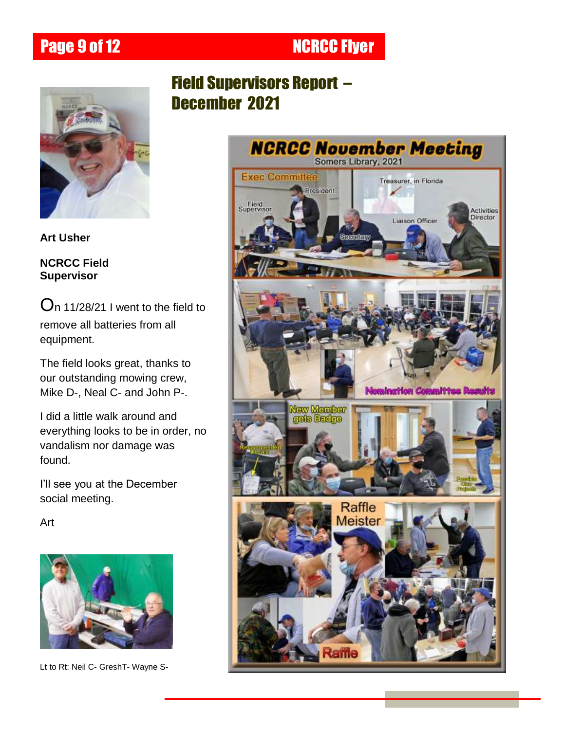Page 9 of 12 NCRCC Flyer



**Art Usher**

**NCRCC Field Supervisor**

 $O<sub>n</sub>$  11/28/21 I went to the field to remove all batteries from all equipment.

The field looks great, thanks to our outstanding mowing crew, Mike D-, Neal C- and John P-.

I did a little walk around and everything looks to be in order, no vandalism nor damage was found.

I"ll see you at the December social meeting.

Art



Lt to Rt: Neil C- GreshT- Wayne S-

## Field Supervisors Report – December 2021

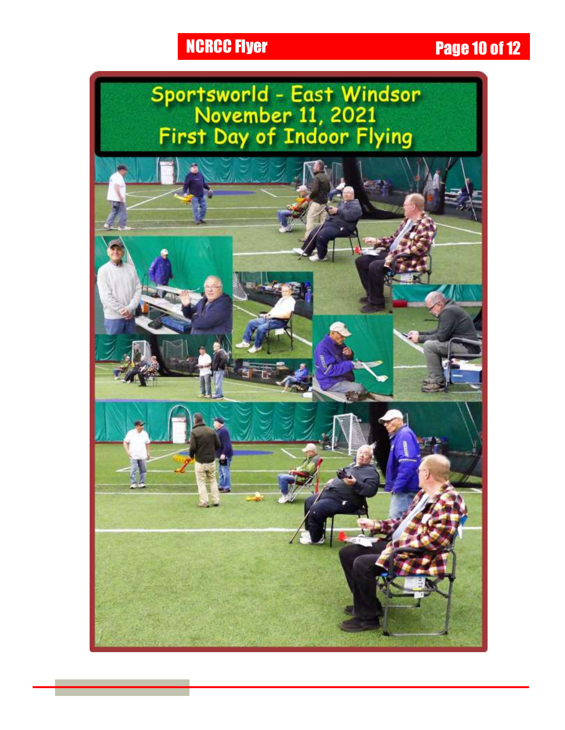# **NCRCC Flyer Page 10 of 12**

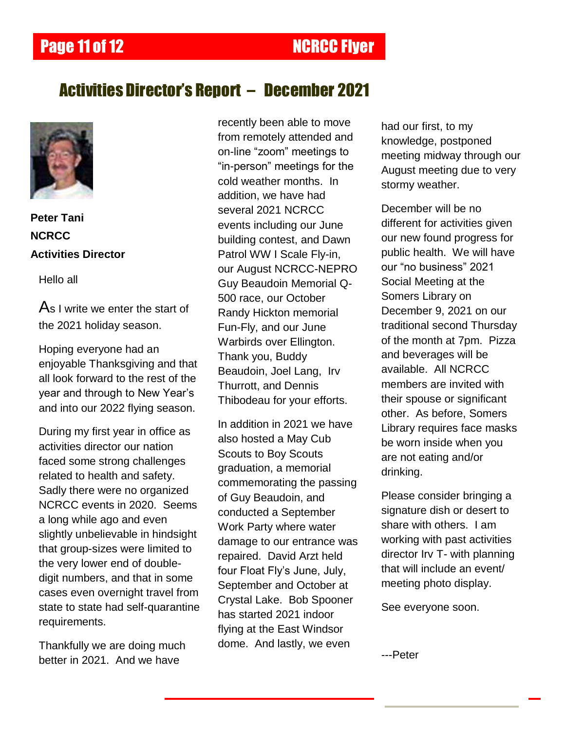## **Page 11 of 12 NCRCC Fiver**

## Activities Director's Report – December 2021



**Peter Tani NCRCC Activities Director**

Hello all

As I write we enter the start of the 2021 holiday season.

Hoping everyone had an enjoyable Thanksgiving and that all look forward to the rest of the year and through to New Year"s and into our 2022 flying season.

During my first year in office as activities director our nation faced some strong challenges related to health and safety. Sadly there were no organized NCRCC events in 2020. Seems a long while ago and even slightly unbelievable in hindsight that group-sizes were limited to the very lower end of doubledigit numbers, and that in some cases even overnight travel from state to state had self-quarantine requirements.

Thankfully we are doing much better in 2021. And we have

recently been able to move from remotely attended and on-line "zoom" meetings to "in-person" meetings for the cold weather months. In addition, we have had several 2021 NCRCC events including our June building contest, and Dawn Patrol WW I Scale Fly-in, our August NCRCC-NEPRO Guy Beaudoin Memorial Q-500 race, our October Randy Hickton memorial Fun-Fly, and our June Warbirds over Ellington. Thank you, Buddy Beaudoin, Joel Lang, Irv Thurrott, and Dennis Thibodeau for your efforts.

In addition in 2021 we have also hosted a May Cub Scouts to Boy Scouts graduation, a memorial commemorating the passing of Guy Beaudoin, and conducted a September Work Party where water damage to our entrance was repaired. David Arzt held four Float Fly"s June, July, September and October at Crystal Lake. Bob Spooner has started 2021 indoor flying at the East Windsor dome. And lastly, we even

had our first, to my knowledge, postponed meeting midway through our August meeting due to very stormy weather.

December will be no different for activities given our new found progress for public health. We will have our "no business" 2021 Social Meeting at the Somers Library on December 9, 2021 on our traditional second Thursday of the month at 7pm. Pizza and beverages will be available. All NCRCC members are invited with their spouse or significant other. As before, Somers Library requires face masks be worn inside when you are not eating and/or drinking.

Please consider bringing a signature dish or desert to share with others. I am working with past activities director Irv T- with planning that will include an event/ meeting photo display.

See everyone soon.

---Peter